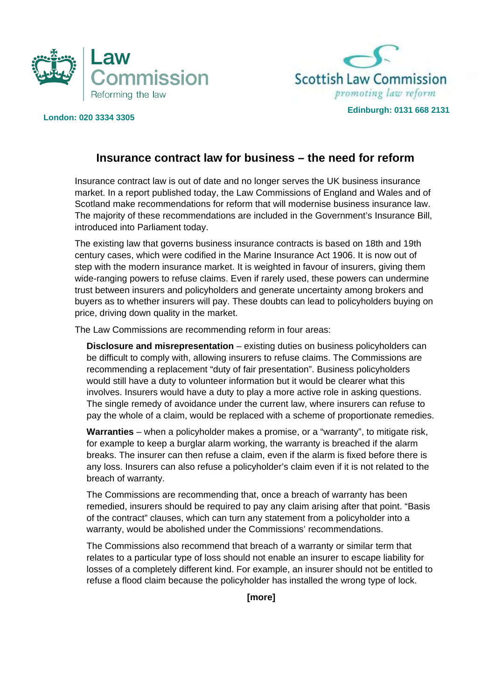



## **Edinburgh: 0131 668 2131 London: 020 3334 3305**

## **Insurance contract law for business – the need for reform**

Insurance contract law is out of date and no longer serves the UK business insurance market. In a report published today, the Law Commissions of England and Wales and of Scotland make recommendations for reform that will modernise business insurance law. The majority of these recommendations are included in the Government's Insurance Bill, introduced into Parliament today.

The existing law that governs business insurance contracts is based on 18th and 19th century cases, which were codified in the Marine Insurance Act 1906. It is now out of step with the modern insurance market. It is weighted in favour of insurers, giving them wide-ranging powers to refuse claims. Even if rarely used, these powers can undermine trust between insurers and policyholders and generate uncertainty among brokers and buyers as to whether insurers will pay. These doubts can lead to policyholders buying on price, driving down quality in the market.

The Law Commissions are recommending reform in four areas:

**Disclosure and misrepresentation** – existing duties on business policyholders can be difficult to comply with, allowing insurers to refuse claims. The Commissions are recommending a replacement "duty of fair presentation". Business policyholders would still have a duty to volunteer information but it would be clearer what this involves. Insurers would have a duty to play a more active role in asking questions. The single remedy of avoidance under the current law, where insurers can refuse to pay the whole of a claim, would be replaced with a scheme of proportionate remedies.

**Warranties** – when a policyholder makes a promise, or a "warranty", to mitigate risk, for example to keep a burglar alarm working, the warranty is breached if the alarm breaks. The insurer can then refuse a claim, even if the alarm is fixed before there is any loss. Insurers can also refuse a policyholder's claim even if it is not related to the breach of warranty.

The Commissions are recommending that, once a breach of warranty has been remedied, insurers should be required to pay any claim arising after that point. "Basis of the contract" clauses, which can turn any statement from a policyholder into a warranty, would be abolished under the Commissions' recommendations.

The Commissions also recommend that breach of a warranty or similar term that relates to a particular type of loss should not enable an insurer to escape liability for losses of a completely different kind. For example, an insurer should not be entitled to refuse a flood claim because the policyholder has installed the wrong type of lock.

**[more]**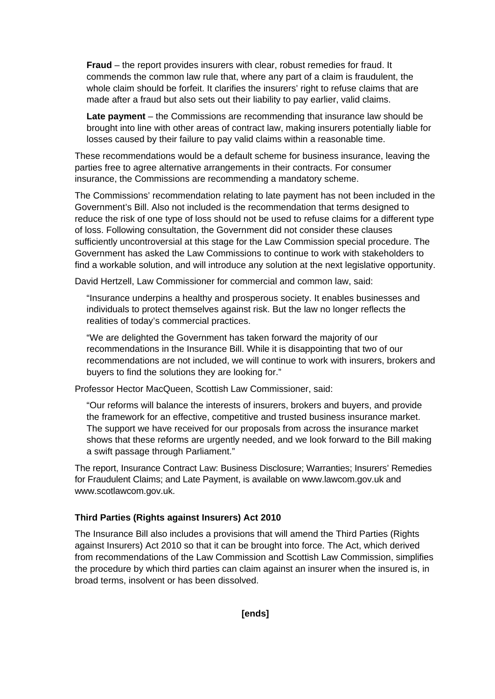**Fraud** – the report provides insurers with clear, robust remedies for fraud. It commends the common law rule that, where any part of a claim is fraudulent, the whole claim should be forfeit. It clarifies the insurers' right to refuse claims that are made after a fraud but also sets out their liability to pay earlier, valid claims.

**Late payment** – the Commissions are recommending that insurance law should be brought into line with other areas of contract law, making insurers potentially liable for losses caused by their failure to pay valid claims within a reasonable time.

These recommendations would be a default scheme for business insurance, leaving the parties free to agree alternative arrangements in their contracts. For consumer insurance, the Commissions are recommending a mandatory scheme.

The Commissions' recommendation relating to late payment has not been included in the Government's Bill. Also not included is the recommendation that terms designed to reduce the risk of one type of loss should not be used to refuse claims for a different type of loss. Following consultation, the Government did not consider these clauses sufficiently uncontroversial at this stage for the Law Commission special procedure. The Government has asked the Law Commissions to continue to work with stakeholders to find a workable solution, and will introduce any solution at the next legislative opportunity.

David Hertzell, Law Commissioner for commercial and common law, said:

"Insurance underpins a healthy and prosperous society. It enables businesses and individuals to protect themselves against risk. But the law no longer reflects the realities of today's commercial practices.

"We are delighted the Government has taken forward the majority of our recommendations in the Insurance Bill. While it is disappointing that two of our recommendations are not included, we will continue to work with insurers, brokers and buyers to find the solutions they are looking for."

Professor Hector MacQueen, Scottish Law Commissioner, said:

"Our reforms will balance the interests of insurers, brokers and buyers, and provide the framework for an effective, competitive and trusted business insurance market. The support we have received for our proposals from across the insurance market shows that these reforms are urgently needed, and we look forward to the Bill making a swift passage through Parliament."

The report, Insurance Contract Law: Business Disclosure; Warranties; Insurers' Remedies for Fraudulent Claims; and Late Payment, is available on www.lawcom.gov.uk and www.scotlawcom.gov.uk.

## **Third Parties (Rights against Insurers) Act 2010**

The Insurance Bill also includes a provisions that will amend the Third Parties (Rights against Insurers) Act 2010 so that it can be brought into force. The Act, which derived from recommendations of the Law Commission and Scottish Law Commission, simplifies the procedure by which third parties can claim against an insurer when the insured is, in broad terms, insolvent or has been dissolved.